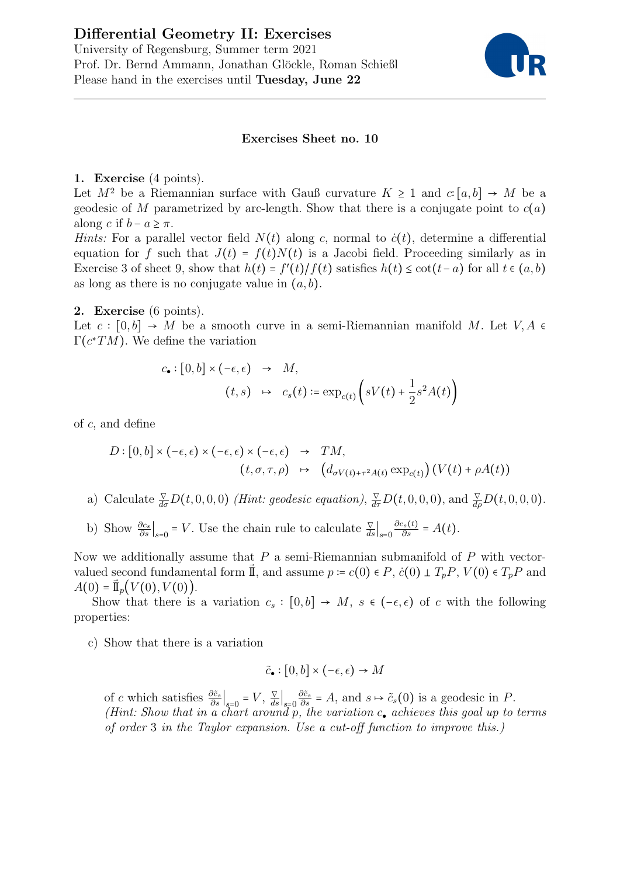# Differential Geometry II: Exercises University of Regensburg, Summer term 2021 Prof. Dr. Bernd Ammann, Jonathan Glöckle, Roman Schießl Please hand in the exercises until Tuesday, June 22



#### Exercises Sheet no. 10

### 1. Exercise (4 points).

Let  $M^2$  be a Riemannian surface with Gauß curvature  $K \geq 1$  and  $c: [a, b] \to M$  be a geodesic of M parametrized by arc-length. Show that there is a conjugate point to  $c(a)$ along c if  $b - a > \pi$ .

Hints: For a parallel vector field  $N(t)$  along c, normal to  $\dot{c}(t)$ , determine a differential equation for f such that  $J(t) = f(t)N(t)$  is a Jacobi field. Proceeding similarly as in Exercise 3 of sheet 9, show that  $h(t) = f'(t)/f(t)$  satisfies  $h(t) \leq \cot(t-a)$  for all  $t \in (a, b)$ as long as there is no conjugate value in  $(a, b)$ .

### 2. Exercise (6 points).

Let  $c : [0, b] \to M$  be a smooth curve in a semi-Riemannian manifold M. Let  $V, A \in$  $\Gamma(c^*TM)$ . We define the variation

$$
c_{\bullet} : [0, b] \times (-\epsilon, \epsilon) \rightarrow M,
$$
  
(t, s) 
$$
\rightarrow c_{s}(t) := \exp_{c(t)} \left( sV(t) + \frac{1}{2} s^{2} A(t) \right)
$$

of c, and define

$$
D: [0, b] \times (-\epsilon, \epsilon) \times (-\epsilon, \epsilon) \times (-\epsilon, \epsilon) \rightarrow TM,
$$
  

$$
(t, \sigma, \tau, \rho) \mapsto (d_{\sigma V(t) + \tau^2 A(t)} \exp_{c(t)}) (V(t) + \rho A(t))
$$

- a) Calculate  $\frac{\nabla}{d\sigma}D(t,0,0,0)$  (Hint: geodesic equation),  $\frac{\nabla}{d\tau}D(t,0,0,0)$ , and  $\frac{\nabla}{d\rho}D(t,0,0,0)$ .
- b) Show  $\frac{\partial c_s}{\partial s}\Big|_{s=0} = V$ . Use the chain rule to calculate  $\frac{\nabla}{ds}\Big|_{s=0}$  $\frac{\partial c_s(t)}{\partial s} = A(t).$

Now we additionally assume that  $P$  a semi-Riemannian submanifold of  $P$  with vectorvalued second fundamental form  $\vec{\mathbb{I}}$ , and assume  $p = c(0) \in P$ ,  $\dot{c}(0) \perp T_p P$ ,  $V(0) \in T_p P$  and  $A(0) = \mathbb{I}_p(V(0), V(0)).$ 

Show that there is a variation  $c_s : [0,b] \to M$ ,  $s \in (-\epsilon,\epsilon)$  of c with the following properties:

c) Show that there is a variation

$$
\tilde{c}_{\bullet} : [0, b] \times (-\epsilon, \epsilon) \to M
$$

of c which satisfies  $\frac{\partial \tilde{c}_s}{\partial s}\big|_{s=0} = V, \frac{\nabla}{ds}\big|_{s=0}$  $\frac{\partial \tilde{c}_s}{\partial s} = A$ , and  $s \mapsto \tilde{c}_s(0)$  is a geodesic in P. (Hint: Show that in a chart around  $\tilde{p}$ , the variation  $c_{\bullet}$  achieves this goal up to terms of order 3 in the Taylor expansion. Use a cut-off function to improve this.)